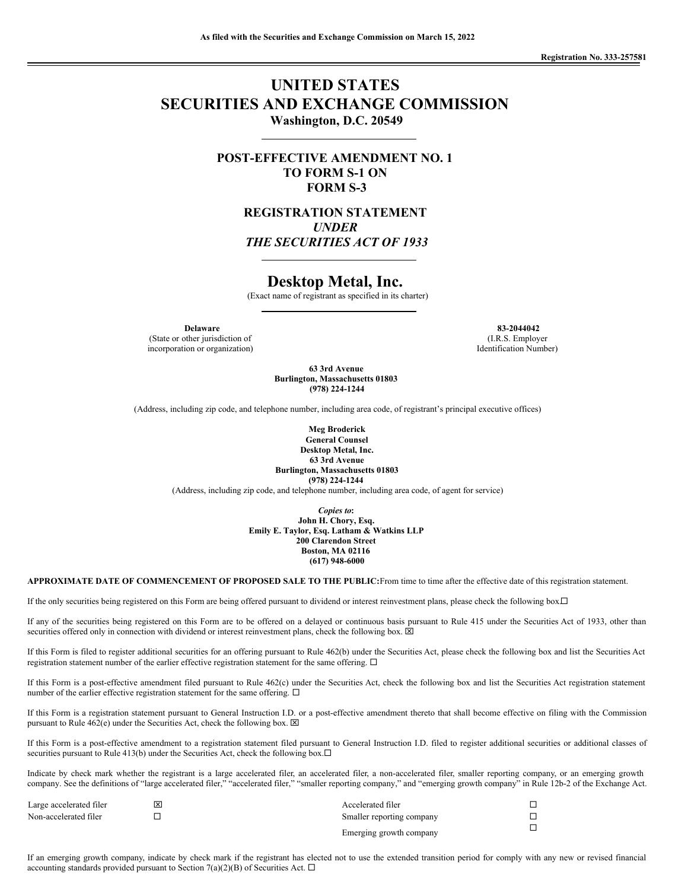# **UNITED STATES SECURITIES AND EXCHANGE COMMISSION Washington, D.C. 20549**

**POST-EFFECTIVE AMENDMENT NO. 1 TO FORM S-1 ON FORM S-3**

> **REGISTRATION STATEMENT** *UNDER THE SECURITIES ACT OF 1933*

## **Desktop Metal, Inc.**

(Exact name of registrant as specified in its charter)

(State or other jurisdiction of incorporation or organization)

**Delaware 83-2044042** (I.R.S. Employer Identification Number)

> **63 3rd Avenue Burlington, Massachusetts 01803 (978) 224-1244**

(Address, including zip code, and telephone number, including area code, of registrant's principal executive offices)

**Meg Broderick General Counsel Desktop Metal, Inc. 63 3rd Avenue Burlington, Massachusetts 01803 (978) 224-1244**

(Address, including zip code, and telephone number, including area code, of agent for service)

*Copies to***: John H. Chory, Esq. Emily E. Taylor, Esq. Latham & Watkins LLP 200 Clarendon Street Boston, MA 02116 (617) 948-6000**

**APPROXIMATE DATE OF COMMENCEMENT OF PROPOSED SALE TO THE PUBLIC:**From time to time after the effective date of this registration statement.

If the only securities being registered on this Form are being offered pursuant to dividend or interest reinvestment plans, please check the following box. $\Box$ 

If any of the securities being registered on this Form are to be offered on a delayed or continuous basis pursuant to Rule 415 under the Securities Act of 1933, other than securities offered only in connection with dividend or interest reinvestment plans, check the following box.  $\boxtimes$ 

If this Form is filed to register additional securities for an offering pursuant to Rule 462(b) under the Securities Act, please check the following box and list the Securities Act registration statement number of the earlier effective registration statement for the same offering.  $\Box$ 

If this Form is a post-effective amendment filed pursuant to Rule 462(c) under the Securities Act, check the following box and list the Securities Act registration statement number of the earlier effective registration statement for the same offering.  $\Box$ 

If this Form is a registration statement pursuant to General Instruction I.D. or a post-effective amendment thereto that shall become effective on filing with the Commission pursuant to Rule 462(e) under the Securities Act, check the following box.  $\boxtimes$ 

If this Form is a post-effective amendment to a registration statement filed pursuant to General Instruction I.D. filed to register additional securities or additional classes of securities pursuant to Rule 413(b) under the Securities Act, check the following box. $\Box$ 

Indicate by check mark whether the registrant is a large accelerated filer, an accelerated filer, a non-accelerated filer, smaller reporting company, or an emerging growth company. See the definitions of "large accelerated filer," "accelerated filer," "smaller reporting company," and "emerging growth company" in Rule 12b-2 of the Exchange Act.

| Large accelerated filer | ⊠ | Accelerated filer         |  |
|-------------------------|---|---------------------------|--|
| Non-accelerated filer   |   | Smaller reporting company |  |
|                         |   | Emerging growth company   |  |

If an emerging growth company, indicate by check mark if the registrant has elected not to use the extended transition period for comply with any new or revised financial accounting standards provided pursuant to Section 7(a)(2)(B) of Securities Act.  $\Box$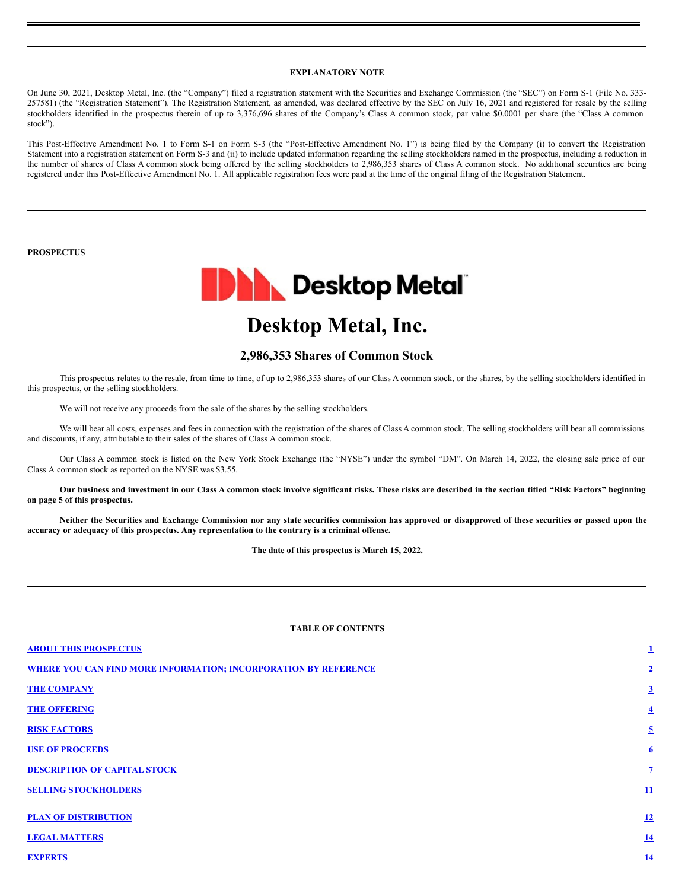## **EXPLANATORY NOTE**

On June 30, 2021, Desktop Metal, Inc. (the "Company") filed a registration statement with the Securities and Exchange Commission (the "SEC") on Form S-1 (File No. 333- 257581) (the "Registration Statement"). The Registration Statement, as amended, was declared effective by the SEC on July 16, 2021 and registered for resale by the selling stockholders identified in the prospectus therein of up to 3,376,696 shares of the Company's Class A common stock, par value \$0.0001 per share (the "Class A common stock").

This Post-Effective Amendment No. 1 to Form S-1 on Form S-3 (the "Post-Effective Amendment No. 1") is being filed by the Company (i) to convert the Registration Statement into a registration statement on Form S-3 and (ii) to include updated information regarding the selling stockholders named in the prospectus, including a reduction in the number of shares of Class A common stock being offered by the selling stockholders to 2,986,353 shares of Class A common stock. No additional securities are being registered under this Post-Effective Amendment No. 1. All applicable registration fees were paid at the time of the original filing of the Registration Statement.

## **PROSPECTUS**



# **Desktop Metal, Inc.**

## **2,986,353 Shares of Common Stock**

This prospectus relates to the resale, from time to time, of up to 2,986,353 shares of our Class A common stock, or the shares, by the selling stockholders identified in this prospectus, or the selling stockholders.

We will not receive any proceeds from the sale of the shares by the selling stockholders.

We will bear all costs, expenses and fees in connection with the registration of the shares of Class A common stock. The selling stockholders will bear all commissions and discounts, if any, attributable to their sales of the shares of Class A common stock.

Our Class A common stock is listed on the New York Stock Exchange (the "NYSE") under the symbol "DM". On March 14, 2022, the closing sale price of our Class A common stock as reported on the NYSE was \$3.55.

Our business and investment in our Class A common stock involve significant risks. These risks are described in the section titled "Risk Factors" beginning **on page 5 of this prospectus.**

Neither the Securities and Exchange Commission nor any state securities commission has approved or disapproved of these securities or passed upon the **accuracy or adequacy of this prospectus. Any representation to the contrary is a criminal offense.**

**The date of this prospectus is March 15, 2022.**

## **TABLE OF CONTENTS**

| <b>ABOUT THIS PROSPECTUS</b>                                           | 1                       |
|------------------------------------------------------------------------|-------------------------|
| <b>WHERE YOU CAN FIND MORE INFORMATION; INCORPORATION BY REFERENCE</b> | $\overline{2}$          |
| <b>THE COMPANY</b>                                                     | $\overline{3}$          |
| <b>THE OFFERING</b>                                                    | $\overline{\mathbf{4}}$ |
| <b>RISK FACTORS</b>                                                    | $\overline{5}$          |
| <b>USE OF PROCEEDS</b>                                                 | $6 \overline{6}$        |
| <b>DESCRIPTION OF CAPITAL STOCK</b>                                    | $\overline{1}$          |
| <b>SELLING STOCKHOLDERS</b>                                            | 11                      |
| <b>PLAN OF DISTRIBUTION</b>                                            | 12                      |
| <b>LEGAL MATTERS</b>                                                   | <u>14</u>               |
| <b>EXPERTS</b>                                                         | <u>14</u>               |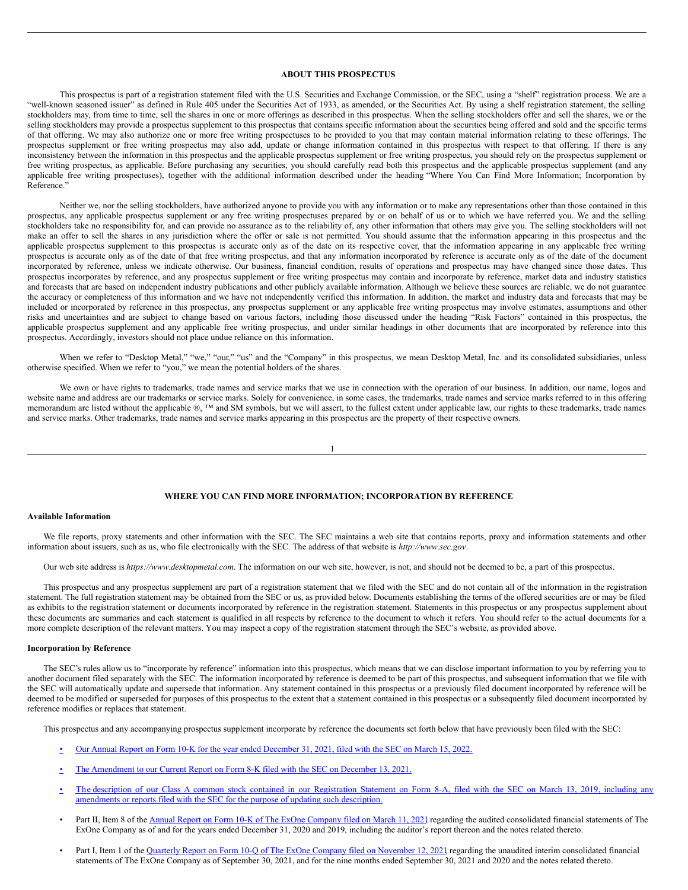## <span id="page-2-0"></span>**ABOUT THIS PROSPECTUS**

This prospectus is part of a registration statement filed with the U.S. Securities and Exchange Commission, or the SEC, using a "shelf" registration process. We are a "well-known seasoned issuer" as defined in Rule 405 under the Securities Act of 1933, as amended, or the Securities Act. By using a shelf registration statement, the selling stockholders may, from time to time, sell the shares in one or more offerings as described in this prospectus. When the selling stockholders offer and sell the shares, we or the selling stockholders may provide a prospectus supplement to this prospectus that contains specific information about the securities being offered and sold and the specific terms of that offering. We may also authorize one or more free writing prospectuses to be provided to you that may contain material information relating to these offerings. The prospectus supplement or free writing prospectus may also add, update or change information contained in this prospectus with respect to that offering. If there is any inconsistency between the information in this prospectus and the applicable prospectus supplement or free writing prospectus, you should rely on the prospectus supplement or free writing prospectus, as applicable. Before purchasing any securities, you should carefully read both this prospectus and the applicable prospectus supplement (and any applicable free writing prospectuses), together with the additional information described under the heading "Where You Can Find More Information; Incorporation by Reference."

Neither we, nor the selling stockholders, have authorized anyone to provide you with any information or to make any representations other than those contained in this prospectus, any applicable prospectus supplement or any free writing prospectuses prepared by or on behalf of us or to which we have referred you. We and the selling stockholders take no responsibility for, and can provide no assurance as to the reliability of, any other information that others may give you. The selling stockholders will not make an offer to sell the shares in any jurisdiction where the offer or sale is not permitted. You should assume that the information appearing in this prospectus and the applicable prospectus supplement to this prospectus is accurate only as of the date on its respective cover, that the information appearing in any applicable free writing prospectus is accurate only as of the date of that free writing prospectus, and that any information incorporated by reference is accurate only as of the date of the document incorporated by reference, unless we indicate otherwise. Our business, financial condition, results of operations and prospectus may have changed since those dates. This prospectus incorporates by reference, and any prospectus supplement or free writing prospectus may contain and incorporate by reference, market data and industry statistics and forecasts that are based on independent industry publications and other publicly available information. Although we believe these sources are reliable, we do not guarantee the accuracy or completeness of this information and we have not independently verified this information. In addition, the market and industry data and forecasts that may be included or incorporated by reference in this prospectus, any prospectus supplement or any applicable free writing prospectus may involve estimates, assumptions and other risks and uncertainties and are subject to change based on various factors, including those discussed under the heading "Risk Factors" contained in this prospectus, the applicable prospectus supplement and any applicable free writing prospectus, and under similar headings in other documents that are incorporated by reference into this prospectus. Accordingly, investors should not place undue reliance on this information.

When we refer to "Desktop Metal," "we," "our," "us" and the "Company" in this prospectus, we mean Desktop Metal, Inc. and its consolidated subsidiaries, unless otherwise specified. When we refer to "you," we mean the potential holders of the shares.

We own or have rights to trademarks, trade names and service marks that we use in connection with the operation of our business. In addition, our name, logos and website name and address are our trademarks or service marks. Solely for convenience, in some cases, the trademarks, trade names and service marks referred to in this offering memorandum are listed without the applicable ®, ™ and SM symbols, but we will assert, to the fullest extent under applicable law, our rights to these trademarks, trade names and service marks. Other trademarks, trade names and service marks appearing in this prospectus are the property of their respective owners.

$$
1 \\
$$

#### <span id="page-2-1"></span>**WHERE YOU CAN FIND MORE INFORMATION; INCORPORATION BY REFERENCE**

#### **Available Information**

We file reports, proxy statements and other information with the SEC. The SEC maintains a web site that contains reports, proxy and information statements and other information about issuers, such as us, who file electronically with the SEC. The address of that website is *http://www.sec.gov*.

Our web site address is *https://www.desktopmetal.com*. The information on our web site, however, is not, and should not be deemed to be, a part of this prospectus.

This prospectus and any prospectus supplement are part of a registration statement that we filed with the SEC and do not contain all of the information in the registration statement. The full registration statement may be obtained from the SEC or us, as provided below. Documents establishing the terms of the offered securities are or may be filed as exhibits to the registration statement or documents incorporated by reference in the registration statement. Statements in this prospectus or any prospectus supplement about these documents are summaries and each statement is qualified in all respects by reference to the document to which it refers. You should refer to the actual documents for a more complete description of the relevant matters. You may inspect a copy of the registration statement through the SEC's website, as provided above.

## **Incorporation by Reference**

The SEC's rules allow us to "incorporate by reference" information into this prospectus, which means that we can disclose important information to you by referring you to another document filed separately with the SEC. The information incorporated by reference is deemed to be part of this prospectus, and subsequent information that we file with the SEC will automatically update and supersede that information. Any statement contained in this prospectus or a previously filed document incorporated by reference will be deemed to be modified or superseded for purposes of this prospectus to the extent that a statement contained in this prospectus or a subsequently filed document incorporated by reference modifies or replaces that statement.

This prospectus and any accompanying prospectus supplement incorporate by reference the documents set forth below that have previously been filed with the SEC:

- [•](https://www.sec.gov/ix?doc=/Archives/edgar/data/1754820/000155837022003681/dm-20211231x10k.htm) Our Annual Report on Form 10-K for the year ended [December](https://www.sec.gov/ix?doc=/Archives/edgar/data/1754820/000155837022003681/dm-20211231x10k.htm) 31, 2021, filed with the SEC on March 15, 2022.
- [•](http://www.sec.gov/ix?doc=/Archives/edgar/data/1754820/000110465921149069/tm2134989d1_8k.htm) The [Amendment](http://www.sec.gov/ix?doc=/Archives/edgar/data/1754820/000110465921149069/tm2134989d1_8k.htm) to our Current Report on Form 8-K filed with the SEC on December 13, 2021.
- [•](http://www.sec.gov/Archives/edgar/data/1754820/000121390019004020/f8a12b031319_trineacq.htm) The description of our Class A common stock contained in our Registration Statement on Form 8-A, filed with the SEC on March 13, 2019, including any [amendments](http://www.sec.gov/Archives/edgar/data/1754820/000121390019004020/f8a12b031319_trineacq.htm) or reports filed with the SEC for the purpose of updating such description.
- Part II, Item 8 of the Annual Report on Form 10-K of The ExOne [Company](https://www.sec.gov/ix?doc=/Archives/edgar/data/1561627/000156459021012530/xone-10k_20201231.htm) filed on March 11, 2021 regarding the audited consolidated financial statements of The ExOne Company as of and for the years ended December 31, 2020 and 2019, including the auditor's report thereon and the notes related thereto.
- Part I, Item 1 of the Quarterly Report on Form 10-Q of The ExOne Company filed on [November](https://www.sec.gov/ix?doc=/Archives/edgar/data/1561627/000156459021056420/xone-10q_20210930.htm) 12, 2021 regarding the unaudited interim consolidated financial statements of The ExOne Company as of September 30, 2021, and for the nine months ended September 30, 2021 and 2020 and the notes related thereto.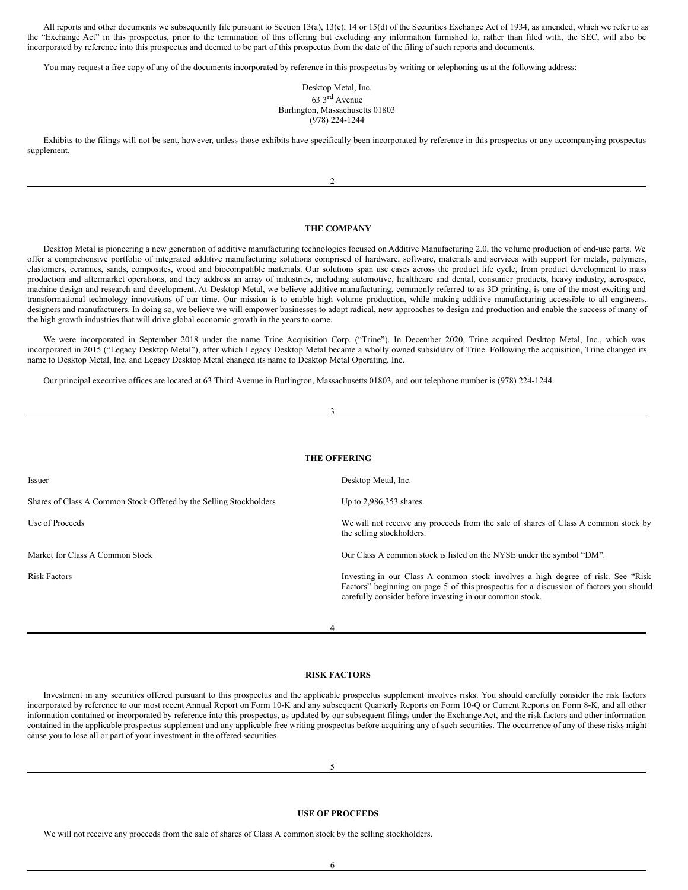All reports and other documents we subsequently file pursuant to Section 13(a), 13(c), 14 or 15(d) of the Securities Exchange Act of 1934, as amended, which we refer to as the "Exchange Act" in this prospectus, prior to the termination of this offering but excluding any information furnished to, rather than filed with, the SEC, will also be incorporated by reference into this prospectus and deemed to be part of this prospectus from the date of the filing of such reports and documents.

You may request a free copy of any of the documents incorporated by reference in this prospectus by writing or telephoning us at the following address:

## Desktop Metal, Inc. 63 3 rd Avenue Burlington, Massachusetts 01803 (978) 224-1244

Exhibits to the filings will not be sent, however, unless those exhibits have specifically been incorporated by reference in this prospectus or any accompanying prospectus supplement.

 $\overline{2}$ 

## <span id="page-3-0"></span>**THE COMPANY**

Desktop Metal is pioneering a new generation of additive manufacturing technologies focused on Additive Manufacturing 2.0, the volume production of end-use parts. We offer a comprehensive portfolio of integrated additive manufacturing solutions comprised of hardware, software, materials and services with support for metals, polymers, elastomers, ceramics, sands, composites, wood and biocompatible materials. Our solutions span use cases across the product life cycle, from product development to mass production and aftermarket operations, and they address an array of industries, including automotive, healthcare and dental, consumer products, heavy industry, aerospace, machine design and research and development. At Desktop Metal, we believe additive manufacturing, commonly referred to as 3D printing, is one of the most exciting and transformational technology innovations of our time. Our mission is to enable high volume production, while making additive manufacturing accessible to all engineers, designers and manufacturers. In doing so, we believe we will empower businesses to adopt radical, new approaches to design and production and enable the success of many of the high growth industries that will drive global economic growth in the years to come.

We were incorporated in September 2018 under the name Trine Acquisition Corp. ("Trine"). In December 2020, Trine acquired Desktop Metal, Inc., which was incorporated in 2015 ("Legacy Desktop Metal"), after which Legacy Desktop Metal became a wholly owned subsidiary of Trine. Following the acquisition, Trine changed its name to Desktop Metal, Inc. and Legacy Desktop Metal changed its name to Desktop Metal Operating, Inc.

Our principal executive offices are located at 63 Third Avenue in Burlington, Massachusetts 01803, and our telephone number is (978) 224-1244.

| 3                                                                  |                                                                                                                                                                                                                                        |
|--------------------------------------------------------------------|----------------------------------------------------------------------------------------------------------------------------------------------------------------------------------------------------------------------------------------|
|                                                                    |                                                                                                                                                                                                                                        |
|                                                                    | <b>THE OFFERING</b>                                                                                                                                                                                                                    |
| Issuer                                                             | Desktop Metal, Inc.                                                                                                                                                                                                                    |
| Shares of Class A Common Stock Offered by the Selling Stockholders | Up to 2,986,353 shares.                                                                                                                                                                                                                |
| Use of Proceeds                                                    | We will not receive any proceeds from the sale of shares of Class A common stock by<br>the selling stockholders.                                                                                                                       |
| Market for Class A Common Stock                                    | Our Class A common stock is listed on the NYSE under the symbol "DM".                                                                                                                                                                  |
| <b>Risk Factors</b>                                                | Investing in our Class A common stock involves a high degree of risk. See "Risk"<br>Factors' beginning on page 5 of this prospectus for a discussion of factors you should<br>carefully consider before investing in our common stock. |
| 4                                                                  |                                                                                                                                                                                                                                        |

#### <span id="page-3-2"></span><span id="page-3-1"></span>**RISK FACTORS**

Investment in any securities offered pursuant to this prospectus and the applicable prospectus supplement involves risks. You should carefully consider the risk factors incorporated by reference to our most recent Annual Report on Form 10-K and any subsequent Quarterly Reports on Form 10-Q or Current Reports on Form 8-K, and all other information contained or incorporated by reference into this prospectus, as updated by our subsequent filings under the Exchange Act, and the risk factors and other information contained in the applicable prospectus supplement and any applicable free writing prospectus before acquiring any of such securities. The occurrence of any of these risks might cause you to lose all or part of your investment in the offered securities.

#### <span id="page-3-3"></span>**USE OF PROCEEDS**

We will not receive any proceeds from the sale of shares of Class A common stock by the selling stockholders.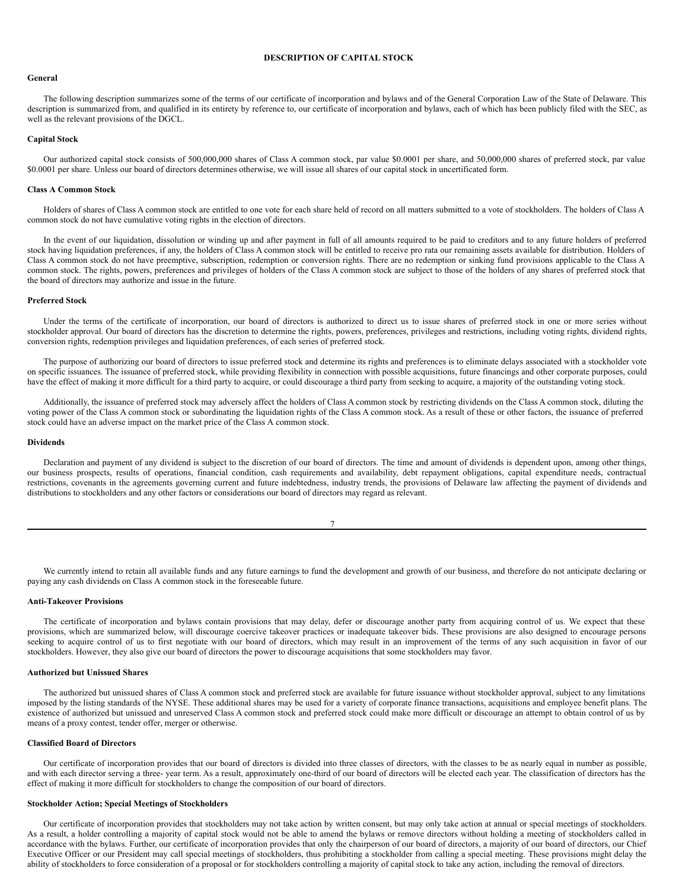#### <span id="page-4-0"></span>**DESCRIPTION OF CAPITAL STOCK**

#### **General**

The following description summarizes some of the terms of our certificate of incorporation and bylaws and of the General Corporation Law of the State of Delaware. This description is summarized from, and qualified in its entirety by reference to, our certificate of incorporation and bylaws, each of which has been publicly filed with the SEC, as well as the relevant provisions of the DGCL.

#### **Capital Stock**

Our authorized capital stock consists of 500,000,000 shares of Class A common stock, par value \$0.0001 per share, and 50,000,000 shares of preferred stock, par value \$0.0001 per share. Unless our board of directors determines otherwise, we will issue all shares of our capital stock in uncertificated form.

#### **Class A Common Stock**

Holders of shares of Class A common stock are entitled to one vote for each share held of record on all matters submitted to a vote of stockholders. The holders of Class A common stock do not have cumulative voting rights in the election of directors.

In the event of our liquidation, dissolution or winding up and after payment in full of all amounts required to be paid to creditors and to any future holders of preferred stock having liquidation preferences, if any, the holders of Class A common stock will be entitled to receive pro rata our remaining assets available for distribution. Holders of Class A common stock do not have preemptive, subscription, redemption or conversion rights. There are no redemption or sinking fund provisions applicable to the Class A common stock. The rights, powers, preferences and privileges of holders of the Class A common stock are subject to those of the holders of any shares of preferred stock that the board of directors may authorize and issue in the future.

#### **Preferred Stock**

Under the terms of the certificate of incorporation, our board of directors is authorized to direct us to issue shares of preferred stock in one or more series without stockholder approval. Our board of directors has the discretion to determine the rights, powers, preferences, privileges and restrictions, including voting rights, dividend rights, conversion rights, redemption privileges and liquidation preferences, of each series of preferred stock.

The purpose of authorizing our board of directors to issue preferred stock and determine its rights and preferences is to eliminate delays associated with a stockholder vote on specific issuances. The issuance of preferred stock, while providing flexibility in connection with possible acquisitions, future financings and other corporate purposes, could have the effect of making it more difficult for a third party to acquire, or could discourage a third party from seeking to acquire, a majority of the outstanding voting stock.

Additionally, the issuance of preferred stock may adversely affect the holders of Class A common stock by restricting dividends on the Class A common stock, diluting the voting power of the Class A common stock or subordinating the liquidation rights of the Class A common stock. As a result of these or other factors, the issuance of preferred stock could have an adverse impact on the market price of the Class A common stock.

#### **Dividends**

Declaration and payment of any dividend is subject to the discretion of our board of directors. The time and amount of dividends is dependent upon, among other things, our business prospects, results of operations, financial condition, cash requirements and availability, debt repayment obligations, capital expenditure needs, contractual restrictions, covenants in the agreements governing current and future indebtedness, industry trends, the provisions of Delaware law affecting the payment of dividends and distributions to stockholders and any other factors or considerations our board of directors may regard as relevant.

We currently intend to retain all available funds and any future earnings to fund the development and growth of our business, and therefore do not anticipate declaring or paying any cash dividends on Class A common stock in the foreseeable future.

#### **Anti-Takeover Provisions**

The certificate of incorporation and bylaws contain provisions that may delay, defer or discourage another party from acquiring control of us. We expect that these provisions, which are summarized below, will discourage coercive takeover practices or inadequate takeover bids. These provisions are also designed to encourage persons seeking to acquire control of us to first negotiate with our board of directors, which may result in an improvement of the terms of any such acquisition in favor of our stockholders. However, they also give our board of directors the power to discourage acquisitions that some stockholders may favor.

## **Authorized but Unissued Shares**

The authorized but unissued shares of Class A common stock and preferred stock are available for future issuance without stockholder approval, subject to any limitations imposed by the listing standards of the NYSE. These additional shares may be used for a variety of corporate finance transactions, acquisitions and employee benefit plans. The existence of authorized but unissued and unreserved Class A common stock and preferred stock could make more difficult or discourage an attempt to obtain control of us by means of a proxy contest, tender offer, merger or otherwise.

## **Classified Board of Directors**

Our certificate of incorporation provides that our board of directors is divided into three classes of directors, with the classes to be as nearly equal in number as possible, and with each director serving a three- year term. As a result, approximately one-third of our board of directors will be elected each year. The classification of directors has the effect of making it more difficult for stockholders to change the composition of our board of directors.

## **Stockholder Action; Special Meetings of Stockholders**

Our certificate of incorporation provides that stockholders may not take action by written consent, but may only take action at annual or special meetings of stockholders. As a result, a holder controlling a majority of capital stock would not be able to amend the bylaws or remove directors without holding a meeting of stockholders called in accordance with the bylaws. Further, our certificate of incorporation provides that only the chairperson of our board of directors, a majority of our board of directors, our Chief Executive Officer or our President may call special meetings of stockholders, thus prohibiting a stockholder from calling a special meeting. These provisions might delay the ability of stockholders to force consideration of a proposal or for stockholders controlling a majority of capital stock to take any action, including the removal of directors.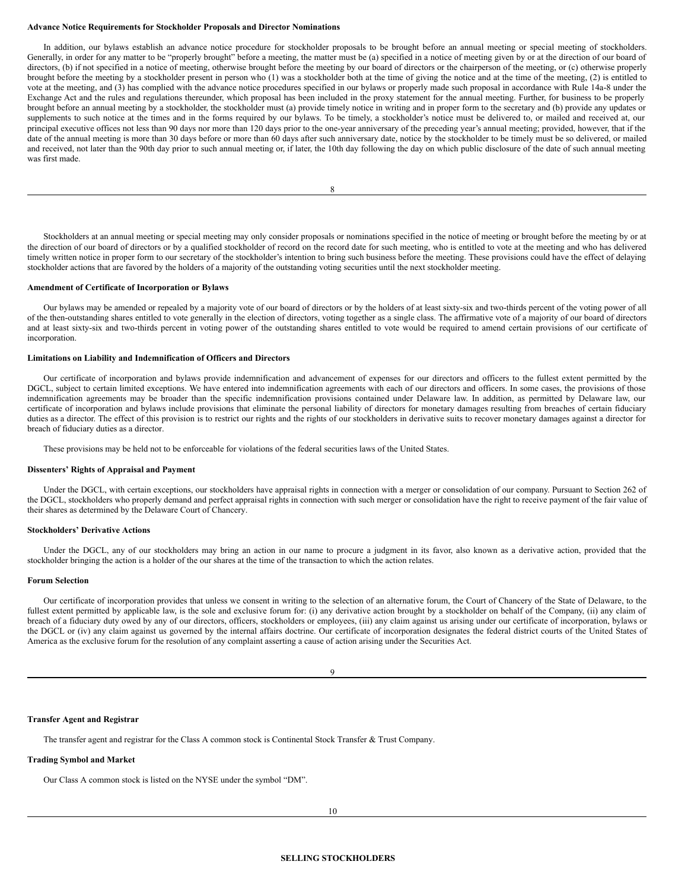#### **Advance Notice Requirements for Stockholder Proposals and Director Nominations**

In addition, our bylaws establish an advance notice procedure for stockholder proposals to be brought before an annual meeting or special meeting of stockholders. Generally, in order for any matter to be "properly brought" before a meeting, the matter must be (a) specified in a notice of meeting given by or at the direction of our board of directors, (b) if not specified in a notice of meeting, otherwise brought before the meeting by our board of directors or the chairperson of the meeting, or (c) otherwise properly brought before the meeting by a stockholder present in person who (1) was a stockholder both at the time of giving the notice and at the time of the meeting, (2) is entitled to vote at the meeting, and (3) has complied with the advance notice procedures specified in our bylaws or properly made such proposal in accordance with Rule 14a-8 under the Exchange Act and the rules and regulations thereunder, which proposal has been included in the proxy statement for the annual meeting. Further, for business to be properly brought before an annual meeting by a stockholder, the stockholder must (a) provide timely notice in writing and in proper form to the secretary and (b) provide any updates or supplements to such notice at the times and in the forms required by our bylaws. To be timely, a stockholder's notice must be delivered to, or mailed and received at, our principal executive offices not less than 90 days nor more than 120 days prior to the one-year anniversary of the preceding year's annual meeting; provided, however, that if the date of the annual meeting is more than 30 days before or more than 60 days after such anniversary date, notice by the stockholder to be timely must be so delivered, or mailed and received, not later than the 90th day prior to such annual meeting or, if later, the 10th day following the day on which public disclosure of the date of such annual meeting was first made.

8

Stockholders at an annual meeting or special meeting may only consider proposals or nominations specified in the notice of meeting or brought before the meeting by or at the direction of our board of directors or by a qualified stockholder of record on the record date for such meeting, who is entitled to vote at the meeting and who has delivered timely written notice in proper form to our secretary of the stockholder's intention to bring such business before the meeting. These provisions could have the effect of delaying stockholder actions that are favored by the holders of a majority of the outstanding voting securities until the next stockholder meeting.

#### **Amendment of Certificate of Incorporation or Bylaws**

Our bylaws may be amended or repealed by a majority vote of our board of directors or by the holders of at least sixty-six and two-thirds percent of the voting power of all of the then-outstanding shares entitled to vote generally in the election of directors, voting together as a single class. The affirmative vote of a majority of our board of directors and at least sixty-six and two-thirds percent in voting power of the outstanding shares entitled to vote would be required to amend certain provisions of our certificate of incorporation.

#### **Limitations on Liability and Indemnification of Officers and Directors**

Our certificate of incorporation and bylaws provide indemnification and advancement of expenses for our directors and officers to the fullest extent permitted by the DGCL, subject to certain limited exceptions. We have entered into indemnification agreements with each of our directors and officers. In some cases, the provisions of those indemnification agreements may be broader than the specific indemnification provisions contained under Delaware law. In addition, as permitted by Delaware law, our certificate of incorporation and bylaws include provisions that eliminate the personal liability of directors for monetary damages resulting from breaches of certain fiduciary duties as a director. The effect of this provision is to restrict our rights and the rights of our stockholders in derivative suits to recover monetary damages against a director for breach of fiduciary duties as a director.

These provisions may be held not to be enforceable for violations of the federal securities laws of the United States.

#### **Dissenters' Rights of Appraisal and Payment**

Under the DGCL, with certain exceptions, our stockholders have appraisal rights in connection with a merger or consolidation of our company. Pursuant to Section 262 of the DGCL, stockholders who properly demand and perfect appraisal rights in connection with such merger or consolidation have the right to receive payment of the fair value of their shares as determined by the Delaware Court of Chancery.

#### **Stockholders' Derivative Actions**

Under the DGCL, any of our stockholders may bring an action in our name to procure a judgment in its favor, also known as a derivative action, provided that the stockholder bringing the action is a holder of the our shares at the time of the transaction to which the action relates.

#### **Forum Selection**

Our certificate of incorporation provides that unless we consent in writing to the selection of an alternative forum, the Court of Chancery of the State of Delaware, to the fullest extent permitted by applicable law, is the sole and exclusive forum for: (i) any derivative action brought by a stockholder on behalf of the Company, (ii) any claim of breach of a fiduciary duty owed by any of our directors, officers, stockholders or employees, (iii) any claim against us arising under our certificate of incorporation, bylaws or the DGCL or (iv) any claim against us governed by the internal affairs doctrine. Our certificate of incorporation designates the federal district courts of the United States of America as the exclusive forum for the resolution of any complaint asserting a cause of action arising under the Securities Act.

<span id="page-5-0"></span>9

#### **Transfer Agent and Registrar**

The transfer agent and registrar for the Class A common stock is Continental Stock Transfer & Trust Company.

## **Trading Symbol and Market**

Our Class A common stock is listed on the NYSE under the symbol "DM".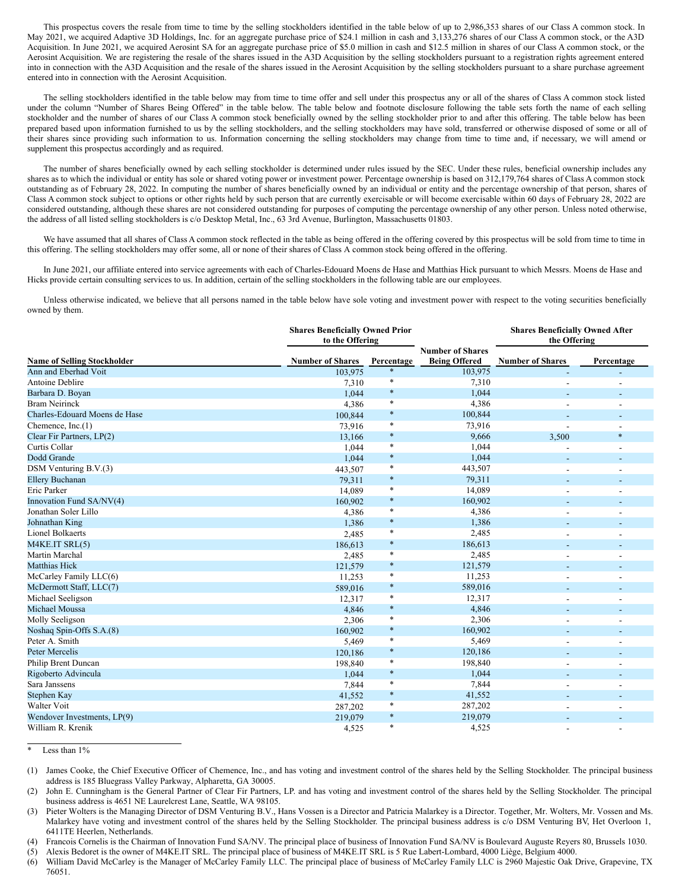This prospectus covers the resale from time to time by the selling stockholders identified in the table below of up to 2,986,353 shares of our Class A common stock. In May 2021, we acquired Adaptive 3D Holdings, Inc. for an aggregate purchase price of \$24.1 million in cash and 3,133,276 shares of our Class A common stock, or the A3D Acquisition. In June 2021, we acquired Aerosint SA for an aggregate purchase price of \$5.0 million in cash and \$12.5 million in shares of our Class A common stock, or the Aerosint Acquisition. We are registering the resale of the shares issued in the A3D Acquisition by the selling stockholders pursuant to a registration rights agreement entered into in connection with the A3D Acquisition and the resale of the shares issued in the Aerosint Acquisition by the selling stockholders pursuant to a share purchase agreement entered into in connection with the Aerosint Acquisition.

The selling stockholders identified in the table below may from time to time offer and sell under this prospectus any or all of the shares of Class A common stock listed under the column "Number of Shares Being Offered" in the table below. The table below and footnote disclosure following the table sets forth the name of each selling stockholder and the number of shares of our Class A common stock beneficially owned by the selling stockholder prior to and after this offering. The table below has been prepared based upon information furnished to us by the selling stockholders, and the selling stockholders may have sold, transferred or otherwise disposed of some or all of their shares since providing such information to us. Information concerning the selling stockholders may change from time to time and, if necessary, we will amend or supplement this prospectus accordingly and as required.

The number of shares beneficially owned by each selling stockholder is determined under rules issued by the SEC. Under these rules, beneficial ownership includes any shares as to which the individual or entity has sole or shared voting power or investment power. Percentage ownership is based on 312,179,764 shares of Class A common stock outstanding as of February 28, 2022. In computing the number of shares beneficially owned by an individual or entity and the percentage ownership of that person, shares of Class A common stock subject to options or other rights held by such person that are currently exercisable or will become exercisable within 60 days of February 28, 2022 are considered outstanding, although these shares are not considered outstanding for purposes of computing the percentage ownership of any other person. Unless noted otherwise, the address of all listed selling stockholders is c/o Desktop Metal, Inc., 63 3rd Avenue, Burlington, Massachusetts 01803.

We have assumed that all shares of Class A common stock reflected in the table as being offered in the offering covered by this prospectus will be sold from time to time in this offering. The selling stockholders may offer some, all or none of their shares of Class A common stock being offered in the offering.

In June 2021, our affiliate entered into service agreements with each of Charles-Edouard Moens de Hase and Matthias Hick pursuant to which Messrs. Moens de Hase and Hicks provide certain consulting services to us. In addition, certain of the selling stockholders in the following table are our employees.

Unless otherwise indicated, we believe that all persons named in the table below have sole voting and investment power with respect to the voting securities beneficially owned by them.

|                                    | <b>Shares Beneficially Owned Prior</b><br>to the Offering |            |                                                 | <b>Shares Beneficially Owned After</b><br>the Offering |                          |
|------------------------------------|-----------------------------------------------------------|------------|-------------------------------------------------|--------------------------------------------------------|--------------------------|
| <b>Name of Selling Stockholder</b> | <b>Number of Shares</b>                                   | Percentage | <b>Number of Shares</b><br><b>Being Offered</b> | <b>Number of Shares</b>                                | Percentage               |
| Ann and Eberhad Voit               | 103,975                                                   | $\ast$     | 103,975                                         | ÷                                                      |                          |
| <b>Antoine Deblire</b>             | 7,310                                                     | $\ast$     | 7,310                                           |                                                        |                          |
| Barbara D. Boyan                   | 1,044                                                     | $\ast$     | 1,044                                           |                                                        |                          |
| <b>Bram Neirinck</b>               | 4,386                                                     | $\ast$     | 4,386                                           |                                                        |                          |
| Charles-Edouard Moens de Hase      | 100,844                                                   | $\ast$     | 100,844                                         |                                                        |                          |
| Chemence, $Inc.(1)$                | 73,916                                                    | $\ast$     | 73,916                                          | Ĭ.                                                     |                          |
| Clear Fir Partners, LP(2)          | 13,166                                                    | $\ast$     | 9,666                                           | 3,500                                                  | $\ast$                   |
| Curtis Collar                      | 1,044                                                     | $\ast$     | 1,044                                           |                                                        |                          |
| Dodd Grande                        | 1,044                                                     | $\ast$     | 1,044                                           |                                                        |                          |
| DSM Venturing B.V.(3)              | 443,507                                                   | $\ast$     | 443,507                                         | $\overline{\phantom{a}}$                               | ٠                        |
| <b>Ellery Buchanan</b>             | 79,311                                                    | $\ast$     | 79,311                                          |                                                        |                          |
| Eric Parker                        | 14,089                                                    | $\ast$     | 14,089                                          | $\overline{a}$                                         | $\overline{\phantom{a}}$ |
| Innovation Fund SA/NV(4)           | 160,902                                                   | $\ast$     | 160,902                                         |                                                        |                          |
| Jonathan Soler Lillo               | 4,386                                                     | $\ast$     | 4,386                                           | $\overline{a}$                                         |                          |
| Johnathan King                     | 1,386                                                     | $\ast$     | 1,386                                           | $\qquad \qquad \blacksquare$                           |                          |
| <b>Lionel Bolkaerts</b>            | 2,485                                                     | $\ast$     | 2,485                                           | $\overline{\phantom{a}}$                               |                          |
| M4KE.IT SRL(5)                     | 186,613                                                   | $\ast$     | 186,613                                         | ۰                                                      |                          |
| Martin Marchal                     | 2,485                                                     | $\ast$     | 2,485                                           | $\overline{a}$                                         |                          |
| <b>Matthias Hick</b>               | 121,579                                                   | $\ast$     | 121,579                                         | ۰                                                      |                          |
| McCarley Family LLC(6)             | 11,253                                                    | $\ast$     | 11,253                                          |                                                        |                          |
| McDermott Staff, LLC(7)            | 589,016                                                   | $\ast$     | 589,016                                         |                                                        |                          |
| Michael Seeligson                  | 12,317                                                    | $\ast$     | 12,317                                          |                                                        |                          |
| Michael Moussa                     | 4,846                                                     | $\ast$     | 4,846                                           |                                                        |                          |
| Molly Seeligson                    | 2,306                                                     | $\ast$     | 2,306                                           |                                                        |                          |
| Noshaq Spin-Offs S.A.(8)           | 160,902                                                   | $\ast$     | 160,902                                         |                                                        |                          |
| Peter A. Smith                     | 5,469                                                     | $\ast$     | 5,469                                           |                                                        |                          |
| Peter Mercelis                     | 120,186                                                   | $\ast$     | 120,186                                         |                                                        |                          |
| Philip Brent Duncan                | 198,840                                                   | $\ast$     | 198,840                                         |                                                        |                          |
| Rigoberto Advincula                | 1,044                                                     | $\ast$     | 1,044                                           |                                                        |                          |
| Sara Janssens                      | 7,844                                                     | $\ast$     | 7,844                                           |                                                        |                          |
| Stephen Kay                        | 41,552                                                    | $\ast$     | 41,552                                          |                                                        |                          |
| Walter Voit                        | 287,202                                                   | $\ast$     | 287,202                                         |                                                        |                          |
| Wendover Investments, LP(9)        | 219,079                                                   | $\ast$     | 219,079                                         |                                                        |                          |
| William R. Krenik                  | 4,525                                                     | $\ast$     | 4,525                                           | $\overline{\phantom{a}}$                               | $\overline{\phantom{a}}$ |

Less than  $1%$ 

(5) Alexis Bedoret is the owner of M4KE.IT SRL. The principal place of business of M4KE.IT SRL is 5 Rue Labert-Lombard, 4000 Liège, Belgium 4000.

<sup>(1)</sup> James Cooke, the Chief Executive Officer of Chemence, Inc., and has voting and investment control of the shares held by the Selling Stockholder. The principal business address is 185 Bluegrass Valley Parkway, Alpharetta, GA 30005.

<sup>(2)</sup> John E. Cunningham is the General Partner of Clear Fir Partners, LP. and has voting and investment control of the shares held by the Selling Stockholder. The principal business address is 4651 NE Laurelcrest Lane, Seattle, WA 98105.

<sup>(3)</sup> Pieter Wolters is the Managing Director of DSM Venturing B.V., Hans Vossen is a Director and Patricia Malarkey is a Director. Together, Mr. Wolters, Mr. Vossen and Ms. Malarkey have voting and investment control of the shares held by the Selling Stockholder. The principal business address is c/o DSM Venturing BV, Het Overloon 1, 6411TE Heerlen, Netherlands.

<sup>(4)</sup> Francois Cornelis is the Chairman of Innovation Fund SA/NV. The principal place of business of Innovation Fund SA/NV is Boulevard Auguste Reyers 80, Brussels 1030.

<sup>(6)</sup> William David McCarley is the Manager of McCarley Family LLC. The principal place of business of McCarley Family LLC is 2960 Majestic Oak Drive, Grapevine, TX 76051.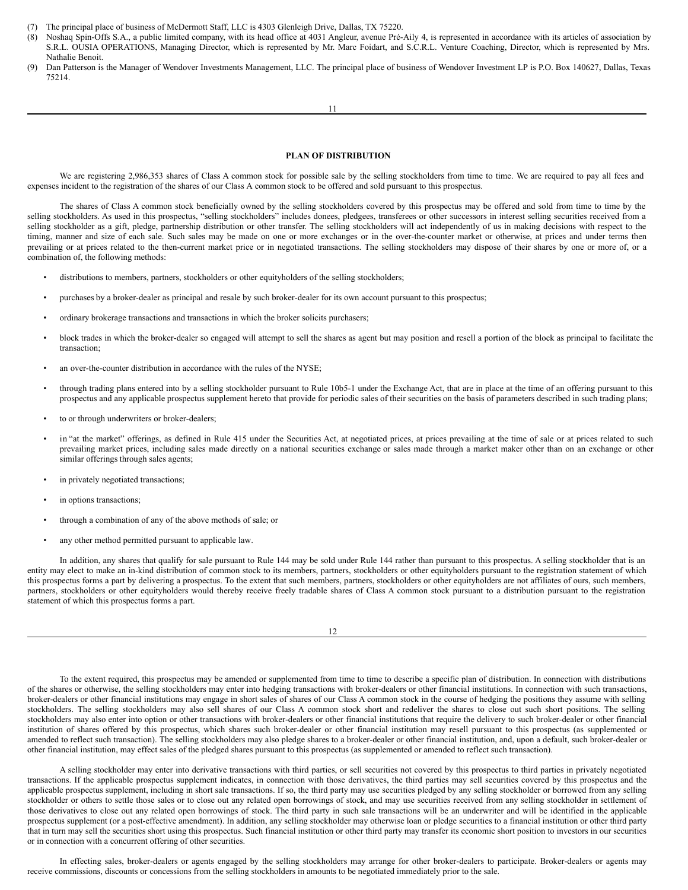- (7) The principal place of business of McDermott Staff, LLC is 4303 Glenleigh Drive, Dallas, TX 75220.
- (8) Noshaq Spin-Offs S.A., a public limited company, with its head office at 4031 Angleur, avenue Pré-Aily 4, is represented in accordance with its articles of association by S.R.L. OUSIA OPERATIONS, Managing Director, which is represented by Mr. Marc Foidart, and S.C.R.L. Venture Coaching, Director, which is represented by Mrs. Nathalie Benoit.
- (9) Dan Patterson is the Manager of Wendover Investments Management, LLC. The principal place of business of Wendover Investment LP is P.O. Box 140627, Dallas, Texas 75214.

## <span id="page-7-0"></span>**PLAN OF DISTRIBUTION**

We are registering 2,986,353 shares of Class A common stock for possible sale by the selling stockholders from time to time. We are required to pay all fees and expenses incident to the registration of the shares of our Class A common stock to be offered and sold pursuant to this prospectus.

The shares of Class A common stock beneficially owned by the selling stockholders covered by this prospectus may be offered and sold from time to time by the selling stockholders. As used in this prospectus, "selling stockholders" includes donees, pledgees, transferees or other successors in interest selling securities received from a selling stockholder as a gift, pledge, partnership distribution or other transfer. The selling stockholders will act independently of us in making decisions with respect to the timing, manner and size of each sale. Such sales may be made on one or more exchanges or in the over-the-counter market or otherwise, at prices and under terms then prevailing or at prices related to the then-current market price or in negotiated transactions. The selling stockholders may dispose of their shares by one or more of, or a combination of, the following methods:

- distributions to members, partners, stockholders or other equityholders of the selling stockholders;
- purchases by a broker-dealer as principal and resale by such broker-dealer for its own account pursuant to this prospectus;
- ordinary brokerage transactions and transactions in which the broker solicits purchasers;
- block trades in which the broker-dealer so engaged will attempt to sell the shares as agent but may position and resell a portion of the block as principal to facilitate the transaction;
- an over-the-counter distribution in accordance with the rules of the NYSE;
- through trading plans entered into by a selling stockholder pursuant to Rule 10b5-1 under the Exchange Act, that are in place at the time of an offering pursuant to this prospectus and any applicable prospectus supplement hereto that provide for periodic sales of their securities on the basis of parameters described in such trading plans;
- to or through underwriters or broker-dealers;
- in "at the market" offerings, as defined in Rule 415 under the Securities Act, at negotiated prices, at prices prevailing at the time of sale or at prices related to such prevailing market prices, including sales made directly on a national securities exchange or sales made through a market maker other than on an exchange or other similar offerings through sales agents;
- in privately negotiated transactions;
- in options transactions:
- through a combination of any of the above methods of sale; or
- any other method permitted pursuant to applicable law.

In addition, any shares that qualify for sale pursuant to Rule 144 may be sold under Rule 144 rather than pursuant to this prospectus. A selling stockholder that is an entity may elect to make an in-kind distribution of common stock to its members, partners, stockholders or other equityholders pursuant to the registration statement of which this prospectus forms a part by delivering a prospectus. To the extent that such members, partners, stockholders or other equityholders are not affiliates of ours, such members, partners, stockholders or other equityholders would thereby receive freely tradable shares of Class A common stock pursuant to a distribution pursuant to the registration statement of which this prospectus forms a part.

12

To the extent required, this prospectus may be amended or supplemented from time to time to describe a specific plan of distribution. In connection with distributions of the shares or otherwise, the selling stockholders may enter into hedging transactions with broker-dealers or other financial institutions. In connection with such transactions, broker-dealers or other financial institutions may engage in short sales of shares of our Class A common stock in the course of hedging the positions they assume with selling stockholders. The selling stockholders may also sell shares of our Class A common stock short and redeliver the shares to close out such short positions. The selling stockholders may also enter into option or other transactions with broker-dealers or other financial institutions that require the delivery to such broker-dealer or other financial institution of shares offered by this prospectus, which shares such broker-dealer or other financial institution may resell pursuant to this prospectus (as supplemented or amended to reflect such transaction). The selling stockholders may also pledge shares to a broker-dealer or other financial institution, and, upon a default, such broker-dealer or other financial institution, may effect sales of the pledged shares pursuant to this prospectus (as supplemented or amended to reflect such transaction).

A selling stockholder may enter into derivative transactions with third parties, or sell securities not covered by this prospectus to third parties in privately negotiated transactions. If the applicable prospectus supplement indicates, in connection with those derivatives, the third parties may sell securities covered by this prospectus and the applicable prospectus supplement, including in short sale transactions. If so, the third party may use securities pledged by any selling stockholder or borrowed from any selling stockholder or others to settle those sales or to close out any related open borrowings of stock, and may use securities received from any selling stockholder in settlement of those derivatives to close out any related open borrowings of stock. The third party in such sale transactions will be an underwriter and will be identified in the applicable prospectus supplement (or a post-effective amendment). In addition, any selling stockholder may otherwise loan or pledge securities to a financial institution or other third party that in turn may sell the securities short using this prospectus. Such financial institution or other third party may transfer its economic short position to investors in our securities or in connection with a concurrent offering of other securities.

In effecting sales, broker-dealers or agents engaged by the selling stockholders may arrange for other broker-dealers to participate. Broker-dealers or agents may receive commissions, discounts or concessions from the selling stockholders in amounts to be negotiated immediately prior to the sale.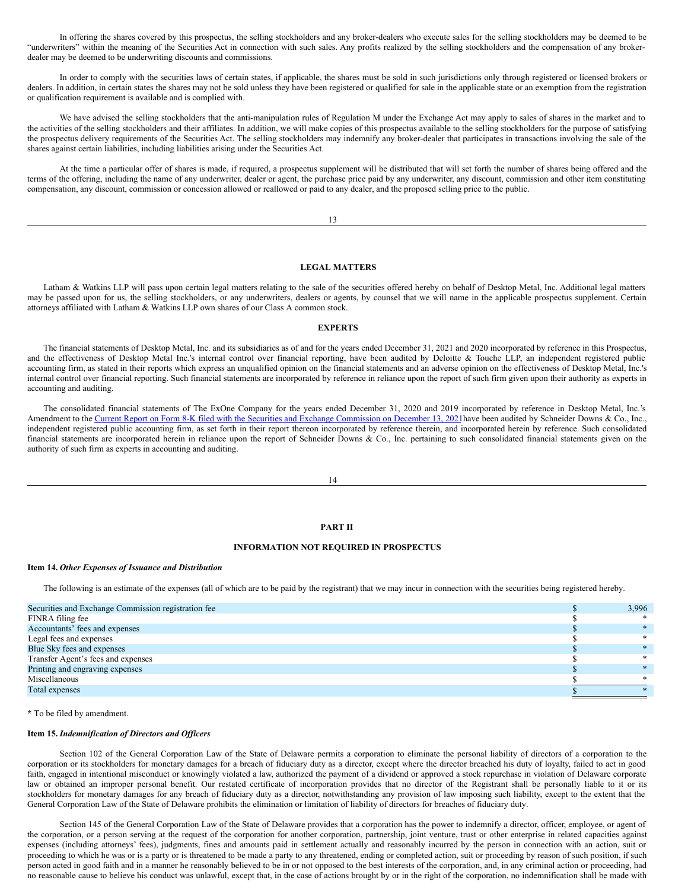In offering the shares covered by this prospectus, the selling stockholders and any broker-dealers who execute sales for the selling stockholders may be deemed to be "underwriters" within the meaning of the Securities Act in connection with such sales. Any profits realized by the selling stockholders and the compensation of any brokerdealer may be deemed to be underwriting discounts and commissions.

In order to comply with the securities laws of certain states, if applicable, the shares must be sold in such jurisdictions only through registered or licensed brokers or dealers. In addition, in certain states the shares may not be sold unless they have been registered or qualified for sale in the applicable state or an exemption from the registration or qualification requirement is available and is complied with.

We have advised the selling stockholders that the anti-manipulation rules of Regulation M under the Exchange Act may apply to sales of shares in the market and to the activities of the selling stockholders and their affiliates. In addition, we will make copies of this prospectus available to the selling stockholders for the purpose of satisfying the prospectus delivery requirements of the Securities Act. The selling stockholders may indemnify any broker-dealer that participates in transactions involving the sale of the shares against certain liabilities, including liabilities arising under the Securities Act.

At the time a particular offer of shares is made, if required, a prospectus supplement will be distributed that will set forth the number of shares being offered and the terms of the offering, including the name of any underwriter, dealer or agent, the purchase price paid by any underwriter, any discount, commission and other item constituting compensation, any discount, commission or concession allowed or reallowed or paid to any dealer, and the proposed selling price to the public.

#### 13

## <span id="page-8-0"></span>**LEGAL MATTERS**

Latham & Watkins LLP will pass upon certain legal matters relating to the sale of the securities offered hereby on behalf of Desktop Metal, Inc. Additional legal matters may be passed upon for us, the selling stockholders, or any underwriters, dealers or agents, by counsel that we will name in the applicable prospectus supplement. Certain attorneys affiliated with Latham & Watkins LLP own shares of our Class A common stock.

#### <span id="page-8-1"></span>**EXPERTS**

The financial statements of Desktop Metal, Inc. and its subsidiaries as of and for the years ended December 31, 2021 and 2020 incorporated by reference in this Prospectus, and the effectiveness of Desktop Metal Inc.'s internal control over financial reporting, have been audited by Deloitte & Touche LLP, an independent registered public accounting firm, as stated in their reports which express an unqualified opinion on the financial statements and an adverse opinion on the effectiveness of Desktop Metal, Inc.'s internal control over financial reporting. Such financial statements are incorporated by reference in reliance upon the report of such firm given upon their authority as experts in accounting and auditing.

The consolidated financial statements of The ExOne Company for the years ended December 31, 2020 and 2019 incorporated by reference in Desktop Metal, Inc.'s Amendment to the Current Report on Form 8-K filed with the Securities and Exchange [Commission](http://www.sec.gov/ix?doc=/Archives/edgar/data/1754820/000110465921149069/tm2134989d1_8k.htm) on December 13, 2021 have been audited by Schneider Downs & Co., Inc., independent registered public accounting firm, as set forth in their report thereon incorporated by reference therein, and incorporated herein by reference. Such consolidated financial statements are incorporated herein in reliance upon the report of Schneider Downs & Co., Inc. pertaining to such consolidated financial statements given on the authority of such firm as experts in accounting and auditing.

14

#### **PART II**

## **INFORMATION NOT REQUIRED IN PROSPECTUS**

#### **Item 14.** *Other Expenses of Issuance and Distribution*

The following is an estimate of the expenses (all of which are to be paid by the registrant) that we may incur in connection with the securities being registered hereby.

| Securities and Exchange Commission registration fee | 3,996 |
|-----------------------------------------------------|-------|
| FINRA filing fee                                    |       |
| Accountants' fees and expenses                      |       |
| Legal fees and expenses                             |       |
| Blue Sky fees and expenses                          |       |
| Transfer Agent's fees and expenses                  |       |
| Printing and engraving expenses                     |       |
| Miscellaneous                                       |       |
| Total expenses                                      |       |
|                                                     |       |

**\*** To be filed by amendment.

#### **Item 15.** *Indemnification of Directors and Of icers*

Section 102 of the General Corporation Law of the State of Delaware permits a corporation to eliminate the personal liability of directors of a corporation to the corporation or its stockholders for monetary damages for a breach of fiduciary duty as a director, except where the director breached his duty of loyalty, failed to act in good faith, engaged in intentional misconduct or knowingly violated a law, authorized the payment of a dividend or approved a stock repurchase in violation of Delaware corporate law or obtained an improper personal benefit. Our restated certificate of incorporation provides that no director of the Registrant shall be personally liable to it or its stockholders for monetary damages for any breach of fiduciary duty as a director, notwithstanding any provision of law imposing such liability, except to the extent that the General Corporation Law of the State of Delaware prohibits the elimination or limitation of liability of directors for breaches of fiduciary duty.

Section 145 of the General Corporation Law of the State of Delaware provides that a corporation has the power to indemnify a director, officer, employee, or agent of the corporation, or a person serving at the request of the corporation for another corporation, partnership, joint venture, trust or other enterprise in related capacities against expenses (including attorneys' fees), judgments, fines and amounts paid in settlement actually and reasonably incurred by the person in connection with an action, suit or proceeding to which he was or is a party or is threatened to be made a party to any threatened, ending or completed action, suit or proceeding by reason of such position, if such person acted in good faith and in a manner he reasonably believed to be in or not opposed to the best interests of the corporation, and, in any criminal action or proceeding, had no reasonable cause to believe his conduct was unlawful, except that, in the case of actions brought by or in the right of the corporation, no indemnification shall be made with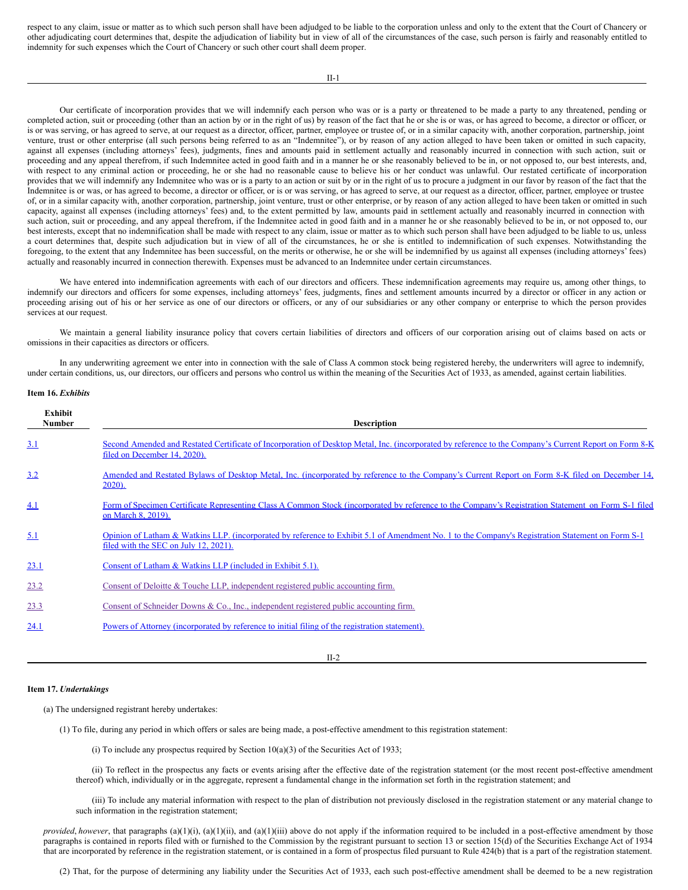respect to any claim, issue or matter as to which such person shall have been adjudged to be liable to the corporation unless and only to the extent that the Court of Chancery or other adjudicating court determines that, despite the adjudication of liability but in view of all of the circumstances of the case, such person is fairly and reasonably entitled to indemnity for such expenses which the Court of Chancery or such other court shall deem proper.

Our certificate of incorporation provides that we will indemnify each person who was or is a party or threatened to be made a party to any threatened, pending or completed action, suit or proceeding (other than an action by or in the right of us) by reason of the fact that he or she is or was, or has agreed to become, a director or officer, or is or was serving, or has agreed to serve, at our request as a director, officer, partner, employee or trustee of, or in a similar capacity with, another corporation, partnership, joint venture, trust or other enterprise (all such persons being referred to as an "Indemnitee"), or by reason of any action alleged to have been taken or omitted in such capacity, against all expenses (including attorneys' fees), judgments, fines and amounts paid in settlement actually and reasonably incurred in connection with such action, suit or proceeding and any appeal therefrom, if such Indemnitee acted in good faith and in a manner he or she reasonably believed to be in, or not opposed to, our best interests, and, with respect to any criminal action or proceeding, he or she had no reasonable cause to believe his or her conduct was unlawful. Our restated certificate of incorporation provides that we will indemnify any Indemnitee who was or is a party to an action or suit by or in the right of us to procure a judgment in our favor by reason of the fact that the Indemnitee is or was, or has agreed to become, a director or officer, or is or was serving, or has agreed to serve, at our request as a director, officer, partner, employee or trustee of, or in a similar capacity with, another corporation, partnership, joint venture, trust or other enterprise, or by reason of any action alleged to have been taken or omitted in such capacity, against all expenses (including attorneys' fees) and, to the extent permitted by law, amounts paid in settlement actually and reasonably incurred in connection with such action, suit or proceeding, and any appeal therefrom, if the Indemnitee acted in good faith and in a manner he or she reasonably believed to be in, or not opposed to, our best interests, except that no indemnification shall be made with respect to any claim, issue or matter as to which such person shall have been adjudged to be liable to us, unless a court determines that, despite such adjudication but in view of all of the circumstances, he or she is entitled to indemnification of such expenses. Notwithstanding the foregoing, to the extent that any Indemnitee has been successful, on the merits or otherwise, he or she will be indemnified by us against all expenses (including attorneys' fees) actually and reasonably incurred in connection therewith. Expenses must be advanced to an Indemnitee under certain circumstances.

We have entered into indemnification agreements with each of our directors and officers. These indemnification agreements may require us, among other things, to indemnify our directors and officers for some expenses, including attorneys' fees, judgments, fines and settlement amounts incurred by a director or officer in any action or proceeding arising out of his or her service as one of our directors or officers, or any of our subsidiaries or any other company or enterprise to which the person provides services at our request.

We maintain a general liability insurance policy that covers certain liabilities of directors and officers of our corporation arising out of claims based on acts or omissions in their capacities as directors or officers.

In any underwriting agreement we enter into in connection with the sale of Class A common stock being registered hereby, the underwriters will agree to indemnify, under certain conditions, us, our directors, our officers and persons who control us within the meaning of the Securities Act of 1933, as amended, against certain liabilities.

## **Item 16.** *Exhibits*

| Exhibit<br><b>Number</b> | <b>Description</b>                                                                                                                                                                         |  |  |  |
|--------------------------|--------------------------------------------------------------------------------------------------------------------------------------------------------------------------------------------|--|--|--|
| 3.1                      | Second Amended and Restated Certificate of Incorporation of Desktop Metal, Inc. (incorporated by reference to the Company's Current Report on Form 8-K<br>filed on December 14, 2020).     |  |  |  |
| 3.2                      | Amended and Restated Bylaws of Desktop Metal, Inc. (incorporated by reference to the Company's Current Report on Form 8-K filed on December 14,<br>$2020$ ).                               |  |  |  |
| 4.1                      | Form of Specimen Certificate Representing Class A Common Stock (incorporated by reference to the Company's Registration Statement on Form S-1 filed<br>on March 8, 2019).                  |  |  |  |
| 5.1                      | Opinion of Latham & Watkins LLP. (incorporated by reference to Exhibit 5.1 of Amendment No. 1 to the Company's Registration Statement on Form S-1<br>filed with the SEC on July 12, 2021). |  |  |  |
| 23.1                     | Consent of Latham & Watkins LLP (included in Exhibit 5.1).                                                                                                                                 |  |  |  |
| 23.2                     | Consent of Deloitte & Touche LLP, independent registered public accounting firm.                                                                                                           |  |  |  |
| 23.3                     | Consent of Schneider Downs & Co., Inc., independent registered public accounting firm.                                                                                                     |  |  |  |
| 24.1                     | Powers of Attorney (incorporated by reference to initial filing of the registration statement).                                                                                            |  |  |  |

#### II-2

#### **Item 17.** *Undertakings*

(a) The undersigned registrant hereby undertakes:

- (1) To file, during any period in which offers or sales are being made, a post-effective amendment to this registration statement:
	- (i) To include any prospectus required by Section  $10(a)(3)$  of the Securities Act of 1933;

(ii) To reflect in the prospectus any facts or events arising after the effective date of the registration statement (or the most recent post-effective amendment thereof) which, individually or in the aggregate, represent a fundamental change in the information set forth in the registration statement; and

(iii) To include any material information with respect to the plan of distribution not previously disclosed in the registration statement or any material change to such information in the registration statement;

*provided, however*, that paragraphs (a)(1)(i), (a)(1)(ii), and (a)(1)(iii) above do not apply if the information required to be included in a post-effective amendment by those paragraphs is contained in reports filed with or furnished to the Commission by the registrant pursuant to section 13 or section 15(d) of the Securities Exchange Act of 1934 that are incorporated by reference in the registration statement, or is contained in a form of prospectus filed pursuant to Rule 424(b) that is a part of the registration statement.

(2) That, for the purpose of determining any liability under the Securities Act of 1933, each such post-effective amendment shall be deemed to be a new registration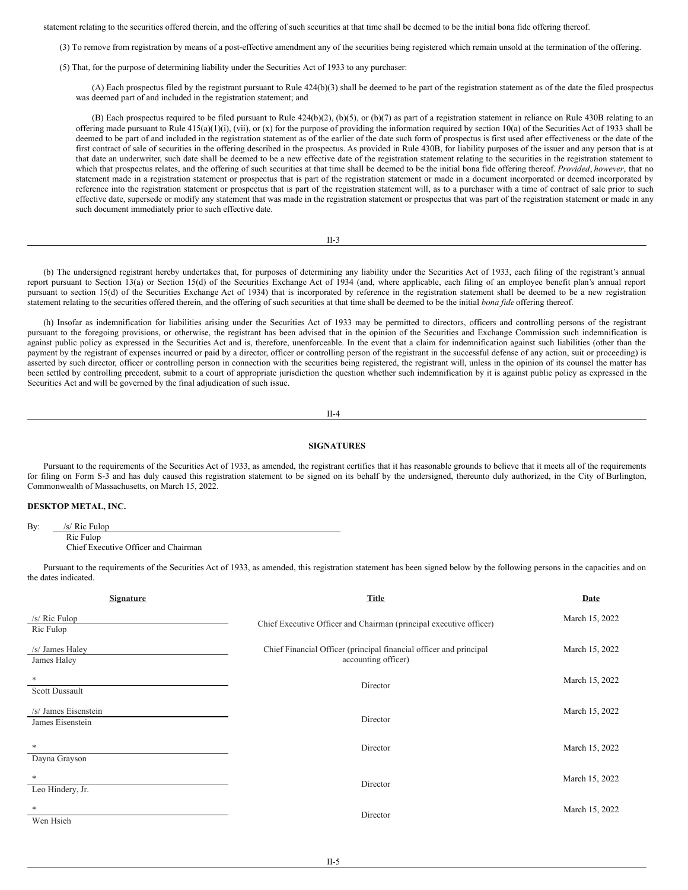statement relating to the securities offered therein, and the offering of such securities at that time shall be deemed to be the initial bona fide offering thereof.

(3) To remove from registration by means of a post-effective amendment any of the securities being registered which remain unsold at the termination of the offering.

(5) That, for the purpose of determining liability under the Securities Act of 1933 to any purchaser:

(A) Each prospectus filed by the registrant pursuant to Rule 424(b)(3) shall be deemed to be part of the registration statement as of the date the filed prospectus was deemed part of and included in the registration statement; and

(B) Each prospectus required to be filed pursuant to Rule 424(b)(2), (b)(5), or (b)(7) as part of a registration statement in reliance on Rule 430B relating to an offering made pursuant to Rule  $415(a)(1)(i)$ , (vii), or (x) for the purpose of providing the information required by section 10(a) of the Securities Act of 1933 shall be deemed to be part of and included in the registration statement as of the earlier of the date such form of prospectus is first used after effectiveness or the date of the first contract of sale of securities in the offering described in the prospectus. As provided in Rule 430B, for liability purposes of the issuer and any person that is at that date an underwriter, such date shall be deemed to be a new effective date of the registration statement relating to the securities in the registration statement to which that prospectus relates, and the offering of such securities at that time shall be deemed to be the initial bona fide offering thereof. *Provided*, *however*, that no statement made in a registration statement or prospectus that is part of the registration statement or made in a document incorporated or deemed incorporated by reference into the registration statement or prospectus that is part of the registration statement will, as to a purchaser with a time of contract of sale prior to such effective date, supersede or modify any statement that was made in the registration statement or prospectus that was part of the registration statement or made in any such document immediately prior to such effective date.

| ۰.     |  |
|--------|--|
| ×<br>٠ |  |

(b) The undersigned registrant hereby undertakes that, for purposes of determining any liability under the Securities Act of 1933, each filing of the registrant's annual report pursuant to Section 13(a) or Section 15(d) of the Securities Exchange Act of 1934 (and, where applicable, each filing of an employee benefit plan's annual report pursuant to section 15(d) of the Securities Exchange Act of 1934) that is incorporated by reference in the registration statement shall be deemed to be a new registration statement relating to the securities offered therein, and the offering of such securities at that time shall be deemed to be the initial *bona fide* offering thereof.

(h) Insofar as indemnification for liabilities arising under the Securities Act of 1933 may be permitted to directors, officers and controlling persons of the registrant pursuant to the foregoing provisions, or otherwise, the registrant has been advised that in the opinion of the Securities and Exchange Commission such indemnification is against public policy as expressed in the Securities Act and is, therefore, unenforceable. In the event that a claim for indemnification against such liabilities (other than the payment by the registrant of expenses incurred or paid by a director, officer or controlling person of the registrant in the successful defense of any action, suit or proceeding) is asserted by such director, officer or controlling person in connection with the securities being registered, the registrant will, unless in the opinion of its counsel the matter has been settled by controlling precedent, submit to a court of appropriate jurisdiction the question whether such indemnification by it is against public policy as expressed in the Securities Act and will be governed by the final adjudication of such issue.

II-4

#### **SIGNATURES**

Pursuant to the requirements of the Securities Act of 1933, as amended, the registrant certifies that it has reasonable grounds to believe that it meets all of the requirements for filing on Form S-3 and has duly caused this registration statement to be signed on its behalf by the undersigned, thereunto duly authorized, in the City of Burlington, Commonwealth of Massachusetts, on March 15, 2022.

## **DESKTOP METAL, INC.**

Ric Fulop Chief Executive Officer and Chairman

Pursuant to the requirements of the Securities Act of 1933, as amended, this registration statement has been signed below by the following persons in the capacities and on the dates indicated.

| <b>Signature</b>                         | <b>Title</b>                                                                              | Date           |
|------------------------------------------|-------------------------------------------------------------------------------------------|----------------|
| $/s/$ Ric Fulop<br>Ric Fulop             | Chief Executive Officer and Chairman (principal executive officer)                        | March 15, 2022 |
| /s/ James Haley<br>James Haley           | Chief Financial Officer (principal financial officer and principal<br>accounting officer) | March 15, 2022 |
| *<br><b>Scott Dussault</b>               | Director                                                                                  | March 15, 2022 |
| /s/ James Eisenstein<br>James Eisenstein | Director                                                                                  | March 15, 2022 |
| *<br>Dayna Grayson                       | Director                                                                                  | March 15, 2022 |
| *<br>Leo Hindery, Jr.                    | Director                                                                                  | March 15, 2022 |
| *<br>Wen Hsieh                           | Director                                                                                  | March 15, 2022 |

By: /s/ Ric Fulop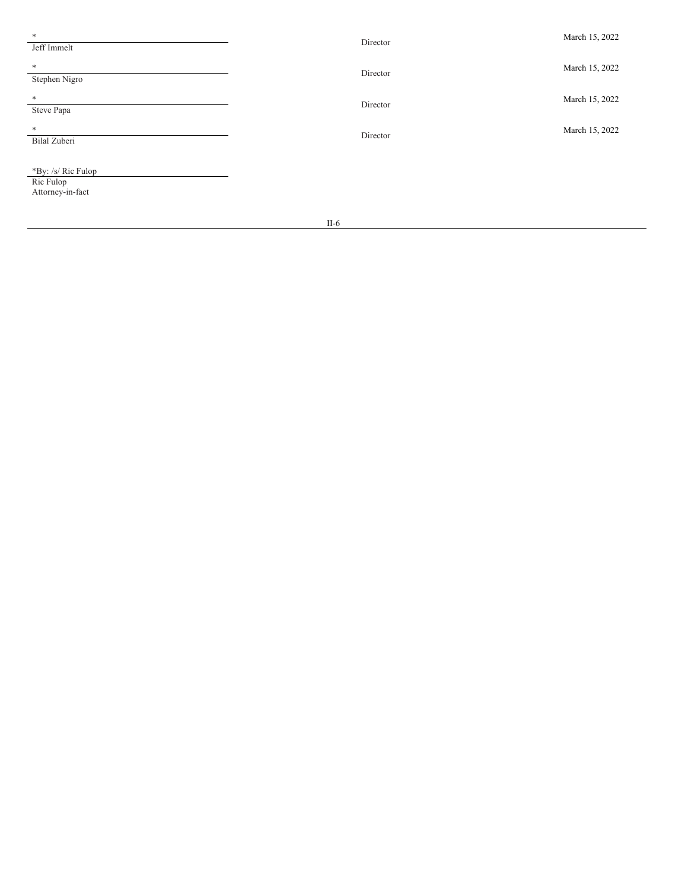| $\ast$<br>Jeff Immelt                               | Director | March 15, 2022 |
|-----------------------------------------------------|----------|----------------|
| *<br>Stephen Nigro                                  | Director | March 15, 2022 |
| $\ast$<br>Steve Papa                                | Director | March 15, 2022 |
| *<br>Bilal Zuberi                                   | Director | March 15, 2022 |
| *By: /s/ Ric Fulop<br>Ric Fulop<br>Attorney-in-fact |          |                |

I I - 6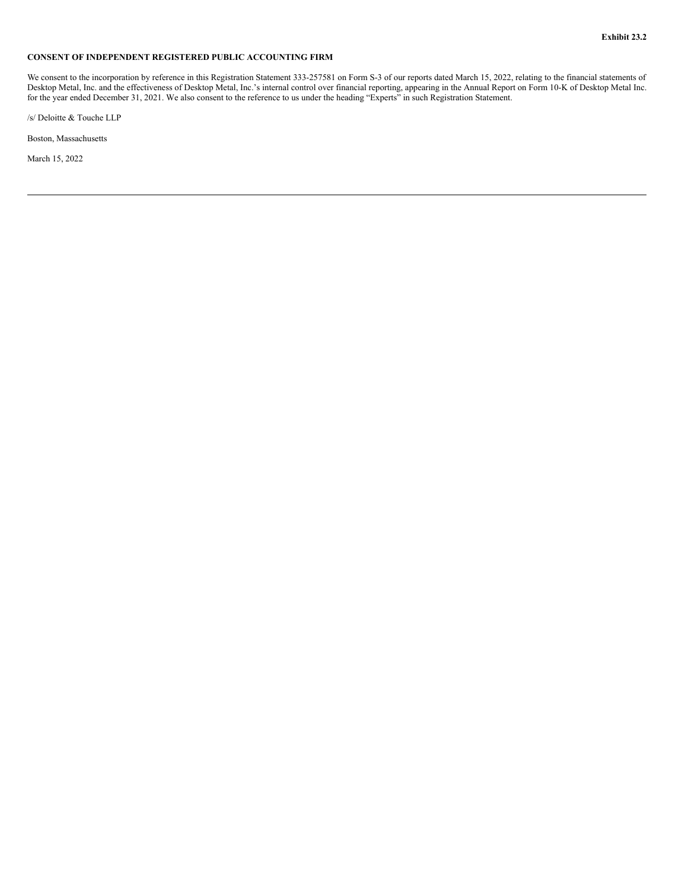## <span id="page-12-0"></span>**CONSENT OF INDEPENDENT REGISTERED PUBLIC ACCOUNTING FIRM**

We consent to the incorporation by reference in this Registration Statement 333-257581 on Form S-3 of our reports dated March 15, 2022, relating to the financial statements of Desktop Metal, Inc. and the effectiveness of Desktop Metal, Inc.'s internal control over financial reporting, appearing in the Annual Report on Form 10-K of Desktop Metal Inc. for the year ended December 31, 2021. We also consent to the reference to us under the heading "Experts" in such Registration Statement.

/s/ Deloitte & Touche LLP

Boston, Massachusetts

March 15, 2022